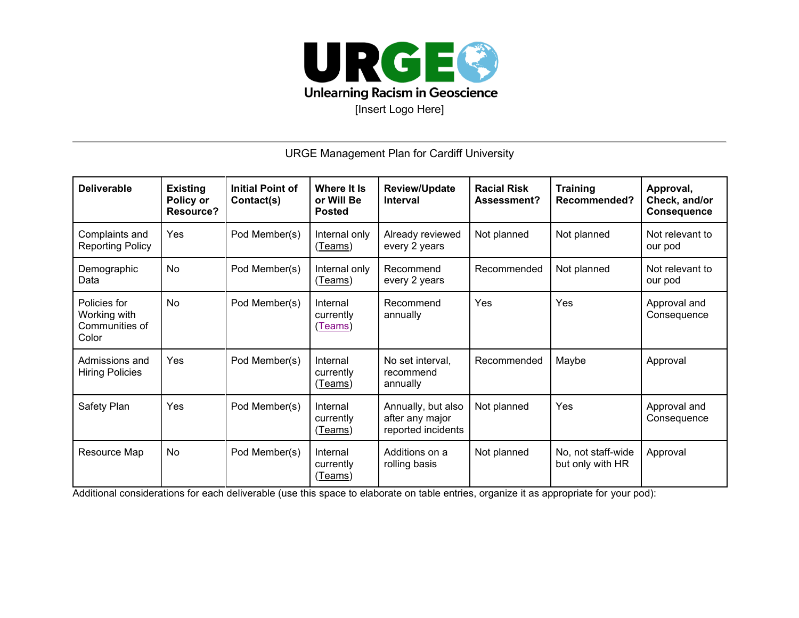

URGE Management Plan for Cardiff University

| <b>Deliverable</b>                                      | <b>Existing</b><br>Policy or<br><b>Resource?</b> | <b>Initial Point of</b><br>Contact(s) | Where It Is<br>or Will Be<br><b>Posted</b> | <b>Review/Update</b><br><b>Interval</b>                     | <b>Racial Risk</b><br>Assessment? | <b>Training</b><br>Recommended?        | Approval,<br>Check, and/or<br><b>Consequence</b> |
|---------------------------------------------------------|--------------------------------------------------|---------------------------------------|--------------------------------------------|-------------------------------------------------------------|-----------------------------------|----------------------------------------|--------------------------------------------------|
| Complaints and<br><b>Reporting Policy</b>               | <b>Yes</b>                                       | Pod Member(s)                         | Internal only<br>(Teams)                   | Already reviewed<br>every 2 years                           | Not planned                       | Not planned                            | Not relevant to<br>our pod                       |
| Demographic<br>Data                                     | No                                               | Pod Member(s)                         | Internal only<br>(Teams)                   | Recommend<br>every 2 years                                  | Recommended                       | Not planned                            | Not relevant to<br>our pod                       |
| Policies for<br>Working with<br>Communities of<br>Color | <b>No</b>                                        | Pod Member(s)                         | Internal<br>currently<br>(Teams)           | Recommend<br>annually                                       | Yes                               | Yes                                    | Approval and<br>Consequence                      |
| Admissions and<br><b>Hiring Policies</b>                | Yes                                              | Pod Member(s)                         | Internal<br>currently<br><u>(Teams)</u>    | No set interval,<br>recommend<br>annually                   | Recommended                       | Maybe                                  | Approval                                         |
| Safety Plan                                             | Yes                                              | Pod Member(s)                         | Internal<br>currently<br>(Teams)           | Annually, but also<br>after any major<br>reported incidents | Not planned                       | Yes                                    | Approval and<br>Consequence                      |
| Resource Map                                            | No.                                              | Pod Member(s)                         | Internal<br>currently<br>(Teams)           | Additions on a<br>rolling basis                             | Not planned                       | No, not staff-wide<br>but only with HR | Approval                                         |

Additional considerations for each deliverable (use this space to elaborate on table entries, organize it as appropriate for your pod):